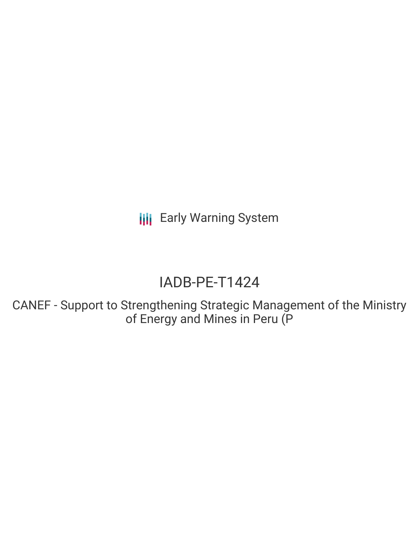**III** Early Warning System

# IADB-PE-T1424

CANEF - Support to Strengthening Strategic Management of the Ministry of Energy and Mines in Peru (P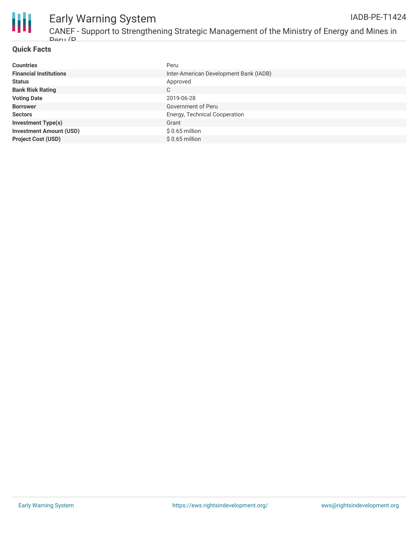

## Early Warning System

### **Quick Facts**

| <b>Countries</b>               | Peru                                   |
|--------------------------------|----------------------------------------|
| <b>Financial Institutions</b>  | Inter-American Development Bank (IADB) |
| <b>Status</b>                  | Approved                               |
| <b>Bank Risk Rating</b>        | С                                      |
| <b>Voting Date</b>             | 2019-06-28                             |
| <b>Borrower</b>                | Government of Peru                     |
| <b>Sectors</b>                 | Energy, Technical Cooperation          |
| <b>Investment Type(s)</b>      | Grant                                  |
| <b>Investment Amount (USD)</b> | $$0.65$ million                        |
| <b>Project Cost (USD)</b>      | $$0.65$ million                        |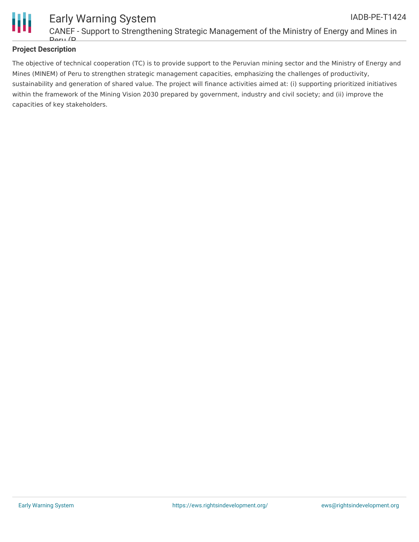

#### **Project Description**

Peru (P

Early Warning System

The objective of technical cooperation (TC) is to provide support to the Peruvian mining sector and the Ministry of Energy and Mines (MINEM) of Peru to strengthen strategic management capacities, emphasizing the challenges of productivity, sustainability and generation of shared value. The project will finance activities aimed at: (i) supporting prioritized initiatives within the framework of the Mining Vision 2030 prepared by government, industry and civil society; and (ii) improve the capacities of key stakeholders.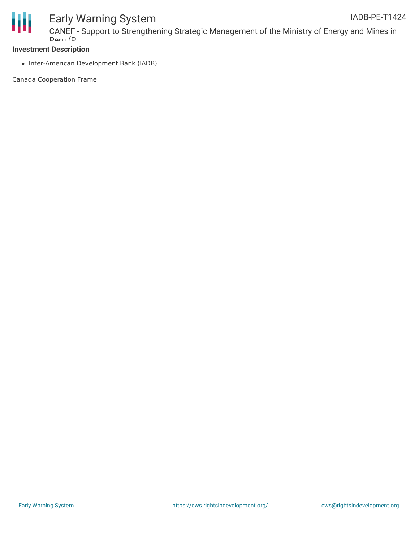

### Early Warning System

CANEF - Support to Strengthening Strategic Management of the Ministry of Energy and Mines in Doru (D

### **Investment Description**

• Inter-American Development Bank (IADB)

Canada Cooperation Frame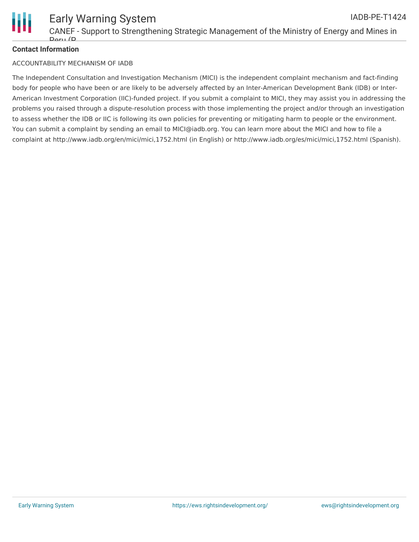

### **Contact Information**

#### ACCOUNTABILITY MECHANISM OF IADB

The Independent Consultation and Investigation Mechanism (MICI) is the independent complaint mechanism and fact-finding body for people who have been or are likely to be adversely affected by an Inter-American Development Bank (IDB) or Inter-American Investment Corporation (IIC)-funded project. If you submit a complaint to MICI, they may assist you in addressing the problems you raised through a dispute-resolution process with those implementing the project and/or through an investigation to assess whether the IDB or IIC is following its own policies for preventing or mitigating harm to people or the environment. You can submit a complaint by sending an email to MICI@iadb.org. You can learn more about the MICI and how to file a complaint at http://www.iadb.org/en/mici/mici,1752.html (in English) or http://www.iadb.org/es/mici/mici,1752.html (Spanish).